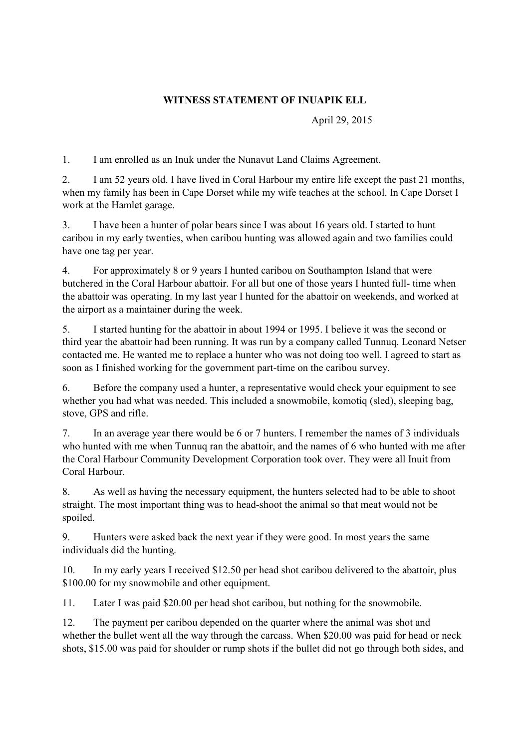## **WITNESS STATEMENT OF INUAPIK ELL**

April 29, 2015

1. I am enrolled as an Inuk under the Nunavut Land Claims Agreement.

2. I am 52 years old. I have lived in Coral Harbour my entire life except the past 21 months, when my family has been in Cape Dorset while my wife teaches at the school. In Cape Dorset I work at the Hamlet garage.

3. I have been a hunter of polar bears since I was about 16 years old. I started to hunt caribou in my early twenties, when caribou hunting was allowed again and two families could have one tag per year.

4. For approximately 8 or 9 years I hunted caribou on Southampton Island that were butchered in the Coral Harbour abattoir. For all but one of those years I hunted full- time when the abattoir was operating. In my last year I hunted for the abattoir on weekends, and worked at the airport as a maintainer during the week.

5. I started hunting for the abattoir in about 1994 or 1995. I believe it was the second or third year the abattoir had been running. It was run by a company called Tunnuq. Leonard Netser contacted me. He wanted me to replace a hunter who was not doing too well. I agreed to start as soon as I finished working for the government part-time on the caribou survey.

6. Before the company used a hunter, a representative would check your equipment to see whether you had what was needed. This included a snowmobile, komotiq (sled), sleeping bag, stove, GPS and rifle.

7. In an average year there would be 6 or 7 hunters. I remember the names of 3 individuals who hunted with me when Tunnuq ran the abattoir, and the names of 6 who hunted with me after the Coral Harbour Community Development Corporation took over. They were all Inuit from Coral Harbour.

8. As well as having the necessary equipment, the hunters selected had to be able to shoot straight. The most important thing was to head-shoot the animal so that meat would not be spoiled.

9. Hunters were asked back the next year if they were good. In most years the same individuals did the hunting.

10. In my early years I received \$12.50 per head shot caribou delivered to the abattoir, plus \$100.00 for my snowmobile and other equipment.

11. Later I was paid \$20.00 per head shot caribou, but nothing for the snowmobile.

12. The payment per caribou depended on the quarter where the animal was shot and whether the bullet went all the way through the carcass. When \$20.00 was paid for head or neck shots, \$15.00 was paid for shoulder or rump shots if the bullet did not go through both sides, and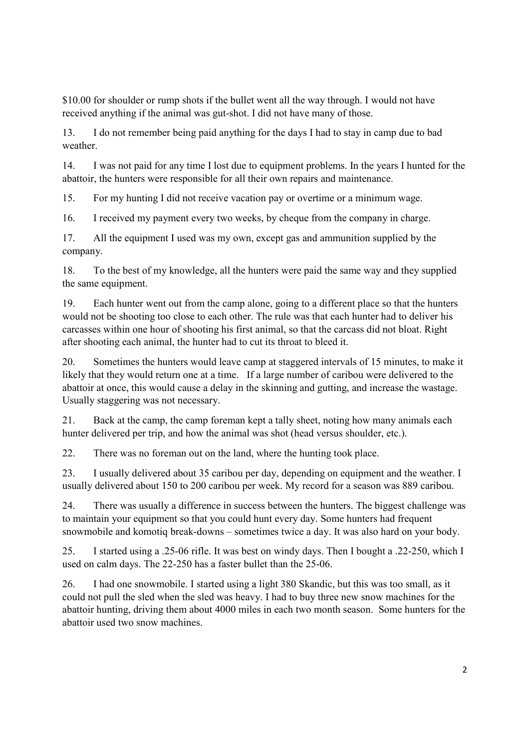\$10.00 for shoulder or rump shots if the bullet went all the way through. I would not have received anything if the animal was gut-shot. I did not have many of those.

13. I do not remember being paid anything for the days I had to stay in camp due to bad weather.

14. I was not paid for any time I lost due to equipment problems. In the years I hunted for the abattoir, the hunters were responsible for all their own repairs and maintenance.

15. For my hunting I did not receive vacation pay or overtime or a minimum wage.

16. I received my payment every two weeks, by cheque from the company in charge.

17. All the equipment I used was my own, except gas and ammunition supplied by the company.

18. To the best of my knowledge, all the hunters were paid the same way and they supplied the same equipment.

19. Each hunter went out from the camp alone, going to a different place so that the hunters would not be shooting too close to each other. The rule was that each hunter had to deliver his carcasses within one hour of shooting his first animal, so that the carcass did not bloat. Right after shooting each animal, the hunter had to cut its throat to bleed it.

20. Sometimes the hunters would leave camp at staggered intervals of 15 minutes, to make it likely that they would return one at a time. If a large number of caribou were delivered to the abattoir at once, this would cause a delay in the skinning and gutting, and increase the wastage. Usually staggering was not necessary.

21. Back at the camp, the camp foreman kept a tally sheet, noting how many animals each hunter delivered per trip, and how the animal was shot (head versus shoulder, etc.).

22. There was no foreman out on the land, where the hunting took place.

23. I usually delivered about 35 caribou per day, depending on equipment and the weather. I usually delivered about 150 to 200 caribou per week. My record for a season was 889 caribou.

24. There was usually a difference in success between the hunters. The biggest challenge was to maintain your equipment so that you could hunt every day. Some hunters had frequent snowmobile and komotiq break-downs – sometimes twice a day. It was also hard on your body.

25. I started using a .25-06 rifle. It was best on windy days. Then I bought a .22-250, which I used on calm days. The 22-250 has a faster bullet than the 25-06.

26. I had one snowmobile. I started using a light 380 Skandic, but this was too small, as it could not pull the sled when the sled was heavy. I had to buy three new snow machines for the abattoir hunting, driving them about 4000 miles in each two month season. Some hunters for the abattoir used two snow machines.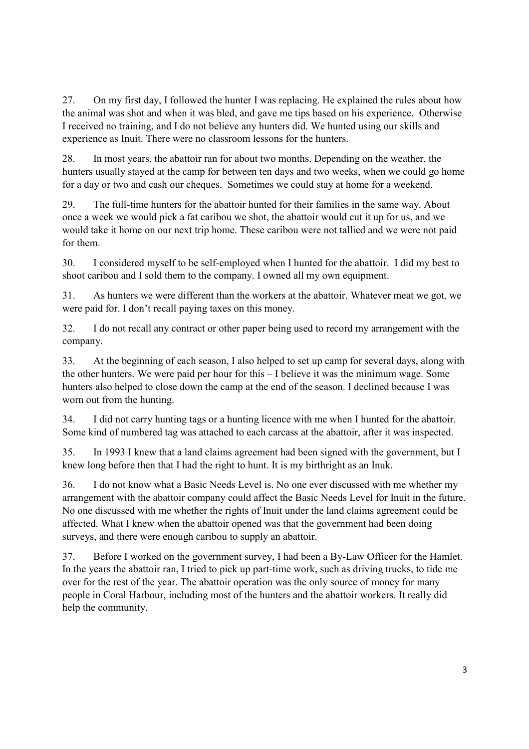27. On my first day, I followed the hunter I was replacing. He explained the rules about how the animal was shot and when it was bled, and gave me tips based on his experience. Otherwise I received no training, and I do not believe any hunters did. We hunted using our skills and experience as Inuit. There were no classroom lessons for the hunters.

28. In most years, the abattoir ran for about two months. Depending on the weather, the hunters usually stayed at the camp for between ten days and two weeks, when we could go home for a day or two and cash our cheques. Sometimes we could stay at home for a weekend.

29. The full-time hunters for the abattoir hunted for their families in the same way. About once a week we would pick a fat caribou we shot, the abattoir would cut it up for us, and we would take it home on our next trip home. These caribou were not tallied and we were not paid for them.

30. I considered myself to be self-employed when I hunted for the abattoir. I did my best to shoot caribou and I sold them to the company. I owned all my own equipment.

31. As hunters we were different than the workers at the abattoir. Whatever meat we got, we were paid for. I don't recall paying taxes on this money.

32. I do not recall any contract or other paper being used to record my arrangement with the company.

33. At the beginning of each season, I also helped to set up camp for several days, along with the other hunters. We were paid per hour for this – I believe it was the minimum wage. Some hunters also helped to close down the camp at the end of the season. I declined because I was worn out from the hunting.

34. I did not carry hunting tags or a hunting licence with me when I hunted for the abattoir. Some kind of numbered tag was attached to each carcass at the abattoir, after it was inspected.

35. In 1993 I knew that a land claims agreement had been signed with the government, but I knew long before then that I had the right to hunt. It is my birthright as an Inuk.

36. I do not know what a Basic Needs Level is. No one ever discussed with me whether my arrangement with the abattoir company could affect the Basic Needs Level for Inuit in the future. No one discussed with me whether the rights of Inuit under the land claims agreement could be affected. What I knew when the abattoir opened was that the government had been doing surveys, and there were enough caribou to supply an abattoir.

37. Before I worked on the government survey, I had been a By-Law Officer for the Hamlet. In the years the abattoir ran, I tried to pick up part-time work, such as driving trucks, to tide me over for the rest of the year. The abattoir operation was the only source of money for many people in Coral Harbour, including most of the hunters and the abattoir workers. It really did help the community.